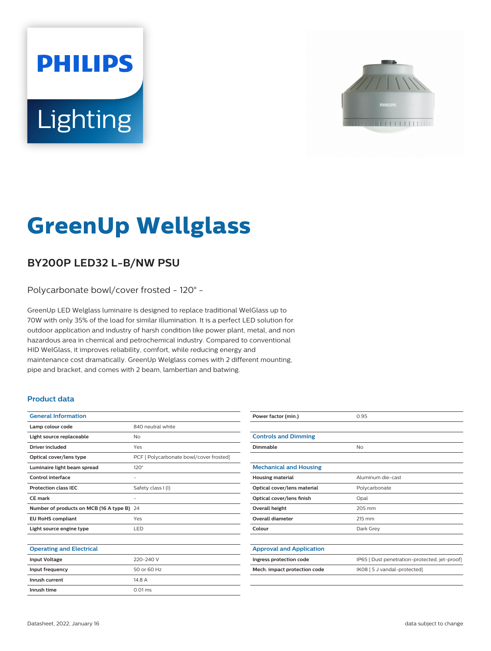# **PHILIPS** Lighting



# **GreenUp Wellglass**

## **BY200P LED32 L-B/NW PSU**

Polycarbonate bowl/cover frosted - 120° -

GreenUp LED Welglass luminaire is designed to replace traditional WelGlass up to 70W with only 35% of the load for similar illumination. It is a perfect LED solution for outdoor application and industry of harsh condition like power plant, metal, and non hazardous area in chemical and petrochemical industry. Compared to conventional HID WelGlass, it improves reliability, comfort, while reducing energy and maintenance cost dramatically. GreenUp Welglass comes with 2 different mounting, pipe and bracket, and comes with 2 beam, lambertian and batwing.

#### **Product data**

| <b>General Information</b>              |                                         |
|-----------------------------------------|-----------------------------------------|
| Lamp colour code                        | 840 neutral white                       |
| Light source replaceable                | No                                      |
| <b>Driver included</b>                  | Yes                                     |
| Optical cover/lens type                 | PCF [ Polycarbonate bowl/cover frosted] |
| Luminaire light beam spread             | $120^\circ$                             |
| Control interface                       |                                         |
| <b>Protection class IEC</b>             | Safety class I (I)                      |
| CE mark                                 |                                         |
|                                         |                                         |
| Number of products on MCB (16 A type B) | 24                                      |
| <b>EU RoHS compliant</b>                | Yes                                     |
| Light source engine type                | LED                                     |
|                                         |                                         |
| <b>Operating and Electrical</b>         |                                         |
| <b>Input Voltage</b>                    | 220-240 V                               |
| Input frequency                         | 50 or 60 Hz                             |
| Inrush current                          | 14.8 A                                  |
| Inrush time                             | $0.01$ ms                               |

| Power factor (min.)             | 0.95                                          |
|---------------------------------|-----------------------------------------------|
|                                 |                                               |
| <b>Controls and Dimming</b>     |                                               |
| Dimmable                        | No                                            |
|                                 |                                               |
| <b>Mechanical and Housing</b>   |                                               |
| <b>Housing material</b>         | Aluminum die-cast                             |
| Optical cover/lens material     | Polycarbonate                                 |
| Optical cover/lens finish       | Opal                                          |
| <b>Overall height</b>           | 205 mm                                        |
| <b>Overall diameter</b>         | 215 mm                                        |
| Colour                          | Dark Grey                                     |
|                                 |                                               |
| <b>Approval and Application</b> |                                               |
| Ingress protection code         | IP65 [ Dust penetration-protected, jet-proof] |
| Mech. impact protection code    | IK08 [ 5 J vandal-protected]                  |
|                                 |                                               |